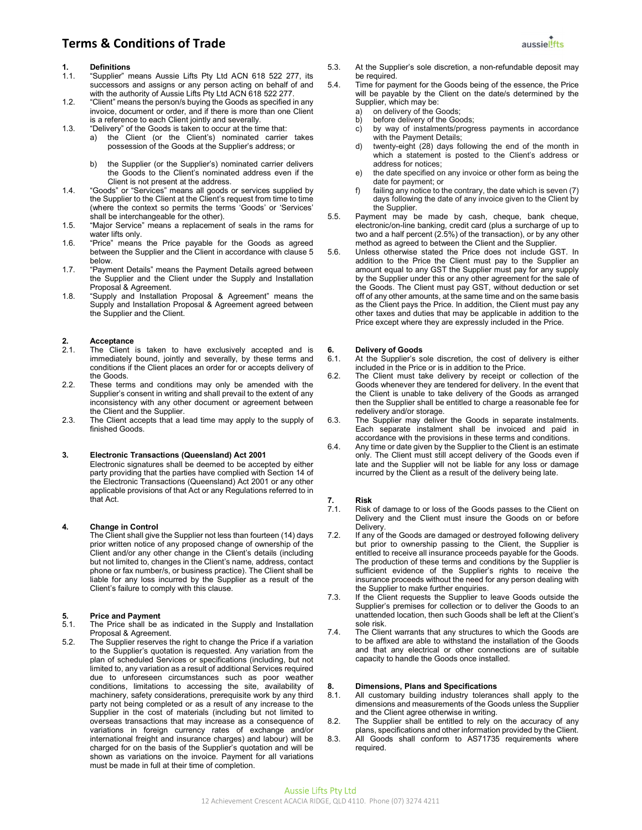# **1.** Definitions<br>1.1. "Supplier" n

- "Supplier" means Aussie Lifts Pty Ltd ACN 618 522 277, its successors and assigns or any person acting on behalf of and with the authority of Aussie Lifts Pty Ltd ACN 618 522 277.
- 1.2. "Client" means the person/s buying the Goods as specified in any invoice, document or order, and if there is more than one Client is a reference to each Client jointly and severally.
- 1.3. "Delivery" of the Goods is taken to occur at the time that:
	- a) the Client (or the Client's) nominated carrier takes possession of the Goods at the Supplier's address; or
	- b) the Supplier (or the Supplier's) nominated carrier delivers the Goods to the Client's nominated address even if the Client is not present at the address.
- 1.4. "Goods" or "Services" means all goods or services supplied by the Supplier to the Client at the Client's request from time to time (where the context so permits the terms 'Goods' or 'Services' shall be interchangeable for the other).
- 1.5. "Major Service" means a replacement of seals in the rams for water lifts only.
- 1.6. "Price" means the Price payable for the Goods as agreed between the Supplier and the Client in accordance with clause 5 below.
- 1.7. "Payment Details" means the Payment Details agreed between the Supplier and the Client under the Supply and Installation Proposal & Agreement.
- 1.8. "Supply and Installation Proposal & Agreement" means the Supply and Installation Proposal & Agreement agreed between the Supplier and the Client.

# 2. **Acceptance**<br>2.1. The Client

- The Client is taken to have exclusively accepted and is immediately bound, jointly and severally, by these terms and conditions if the Client places an order for or accepts delivery of the Goods.
- 2.2. These terms and conditions may only be amended with the Supplier's consent in writing and shall prevail to the extent of any inconsistency with any other document or agreement between the Client and the Supplier.
- 2.3. The Client accepts that a lead time may apply to the supply of finished Goods.

#### 3. Electronic Transactions (Queensland) Act 2001

Electronic signatures shall be deemed to be accepted by either party providing that the parties have complied with Section 14 of the Electronic Transactions (Queensland) Act 2001 or any other applicable provisions of that Act or any Regulations referred to in that Act.

#### 4. Change in Control

The Client shall give the Supplier not less than fourteen (14) days prior written notice of any proposed change of ownership of the Client and/or any other change in the Client's details (including but not limited to, changes in the Client's name, address, contact phone or fax number/s, or business practice). The Client shall be liable for any loss incurred by the Supplier as a result of the Client's failure to comply with this clause.

# 5. Price and Payment<br>5.1 The Price shall be a

- The Price shall be as indicated in the Supply and Installation Proposal & Agreement.
- 5.2. The Supplier reserves the right to change the Price if a variation to the Supplier's quotation is requested. Any variation from the plan of scheduled Services or specifications (including, but not limited to, any variation as a result of additional Services required due to unforeseen circumstances such as poor weather conditions, limitations to accessing the site, availability of machinery, safety considerations, prerequisite work by any third party not being completed or as a result of any increase to the Supplier in the cost of materials (including but not limited to overseas transactions that may increase as a consequence of variations in foreign currency rates of exchange and/or international freight and insurance charges) and labour) will be charged for on the basis of the Supplier's quotation and will be shown as variations on the invoice. Payment for all variations must be made in full at their time of completion.
- 5.3. At the Supplier's sole discretion, a non-refundable deposit may be required.
- 5.4. Time for payment for the Goods being of the essence, the Price will be payable by the Client on the date/s determined by the Supplier, which may be:
	- a) on delivery of the Goods;<br>b) before delivery of the Good
	- before delivery of the Goods;
	- c) by way of instalments/progress payments in accordance with the Payment Details;
	- d) twenty-eight (28) days following the end of the month in which a statement is posted to the Client's address or address for notices;
	- e) the date specified on any invoice or other form as being the date for payment; or
	- f) failing any notice to the contrary, the date which is seven (7) days following the date of any invoice given to the Client by the Supplier.
- 5.5. Payment may be made by cash, cheque, bank cheque, electronic/on-line banking, credit card (plus a surcharge of up to two and a half percent (2.5%) of the transaction), or by any other method as agreed to between the Client and the Supplier.
- 5.6. Unless otherwise stated the Price does not include GST. In addition to the Price the Client must pay to the Supplier an amount equal to any GST the Supplier must pay for any supply by the Supplier under this or any other agreement for the sale of the Goods. The Client must pay GST, without deduction or set off of any other amounts, at the same time and on the same basis as the Client pays the Price. In addition, the Client must pay any other taxes and duties that may be applicable in addition to the Price except where they are expressly included in the Price.

#### 6. Delivery of Goods

- 6.1. At the Supplier's sole discretion, the cost of delivery is either included in the Price or is in addition to the Price.
- 6.2. The Client must take delivery by receipt or collection of the Goods whenever they are tendered for delivery. In the event that the Client is unable to take delivery of the Goods as arranged then the Supplier shall be entitled to charge a reasonable fee for redelivery and/or storage.
- 6.3. The Supplier may deliver the Goods in separate instalments. Each separate instalment shall be invoiced and paid in accordance with the provisions in these terms and conditions.
- 6.4. Any time or date given by the Supplier to the Client is an estimate only. The Client must still accept delivery of the Goods even if late and the Supplier will not be liable for any loss or damage incurred by the Client as a result of the delivery being late.

- **7. Risk**<br>7.1. Risk Risk of damage to or loss of the Goods passes to the Client on Delivery and the Client must insure the Goods on or before **Delivery**
- 7.2. If any of the Goods are damaged or destroyed following delivery but prior to ownership passing to the Client, the Supplier is entitled to receive all insurance proceeds payable for the Goods. The production of these terms and conditions by the Supplier is sufficient evidence of the Supplier's rights to receive the insurance proceeds without the need for any person dealing with the Supplier to make further enquiries.
- 7.3. If the Client requests the Supplier to leave Goods outside the Supplier's premises for collection or to deliver the Goods to an unattended location, then such Goods shall be left at the Client's sole risk.
- 7.4. The Client warrants that any structures to which the Goods are to be affixed are able to withstand the installation of the Goods and that any electrical or other connections are of suitable capacity to handle the Goods once installed.

#### 8. Dimensions, Plans and Specifications

- 8.1. All customary building industry tolerances shall apply to the dimensions and measurements of the Goods unless the Supplier and the Client agree otherwise in writing.
- 8.2. The Supplier shall be entitled to rely on the accuracy of any plans, specifications and other information provided by the Client.
- 8.3. All Goods shall conform to AS71735 requirements where required.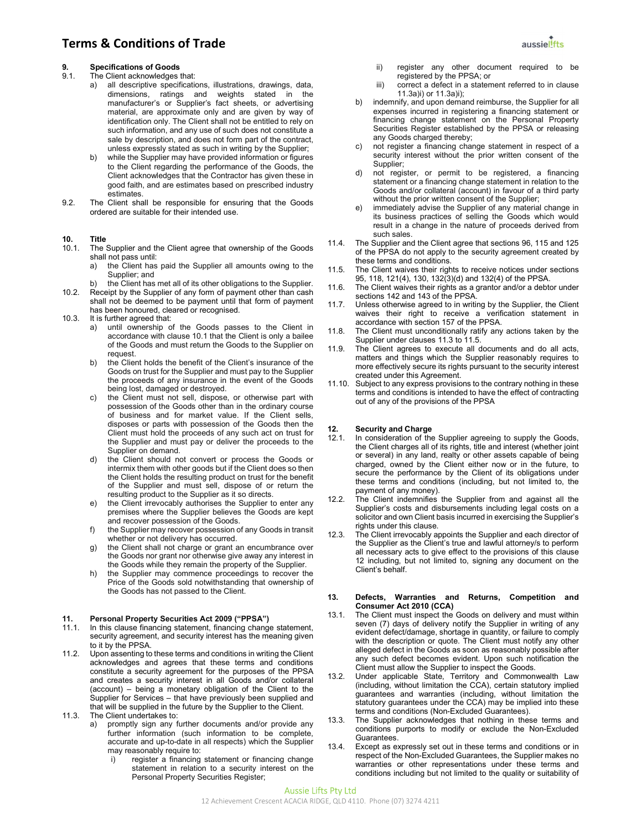# 9. Specifications of Goods<br>9.1. The Client acknowledges t

- The Client acknowledges that:
	- a) all descriptive specifications, illustrations, drawings, data, dimensions, ratings and weights stated in the manufacturer's or Supplier's fact sheets, or advertising material, are approximate only and are given by way of identification only. The Client shall not be entitled to rely on such information, and any use of such does not constitute a sale by description, and does not form part of the contract, unless expressly stated as such in writing by the Supplier;
	- while the Supplier may have provided information or figures to the Client regarding the performance of the Goods, the Client acknowledges that the Contractor has given these in good faith, and are estimates based on prescribed industry **estimates**
- 9.2. The Client shall be responsible for ensuring that the Goods ordered are suitable for their intended use.

# **10.** Title<br>10.1 The

- The Supplier and the Client agree that ownership of the Goods shall not pass until:
	- a) the Client has paid the Supplier all amounts owing to the Supplier; and
	- b) the Client has met all of its other obligations to the Supplier.
- 10.2. Receipt by the Supplier of any form of payment other than cash shall not be deemed to be payment until that form of payment has been honoured, cleared or recognised.
- 10.3. It is further agreed that:
	- a) until ownership of the Goods passes to the Client in accordance with clause 10.1 that the Client is only a bailee of the Goods and must return the Goods to the Supplier on request.
	- b) the Client holds the benefit of the Client's insurance of the Goods on trust for the Supplier and must pay to the Supplier the proceeds of any insurance in the event of the Goods being lost, damaged or destroyed.
	- c) the Client must not sell, dispose, or otherwise part with possession of the Goods other than in the ordinary course of business and for market value. If the Client sells, disposes or parts with possession of the Goods then the Client must hold the proceeds of any such act on trust for the Supplier and must pay or deliver the proceeds to the Supplier on demand.
	- d) the Client should not convert or process the Goods or intermix them with other goods but if the Client does so then the Client holds the resulting product on trust for the benefit of the Supplier and must sell, dispose of or return the resulting product to the Supplier as it so directs.
	- e) the Client irrevocably authorises the Supplier to enter any premises where the Supplier believes the Goods are kept and recover possession of the Goods.
	- f) the Supplier may recover possession of any Goods in transit whether or not delivery has occurred.
	- g) the Client shall not charge or grant an encumbrance over the Goods nor grant nor otherwise give away any interest in the Goods while they remain the property of the Supplier.
	- h) the Supplier may commence proceedings to recover the Price of the Goods sold notwithstanding that ownership of the Goods has not passed to the Client.

# 11. Personal Property Securities Act 2009 ("PPSA")<br>11.1. In this clause financing statement, financing chang

- In this clause financing statement, financing change statement, security agreement, and security interest has the meaning given to it by the PPSA.
- 11.2. Upon assenting to these terms and conditions in writing the Client acknowledges and agrees that these terms and conditions constitute a security agreement for the purposes of the PPSA and creates a security interest in all Goods and/or collateral (account) – being a monetary obligation of the Client to the Supplier for Services – that have previously been supplied and that will be supplied in the future by the Supplier to the Client. 11.3. The Client undertakes to:
	- a) promptly sign any further documents and/or provide any further information (such information to be complete, accurate and up-to-date in all respects) which the Supplier may reasonably require to:
		- i) register a financing statement or financing change statement in relation to a security interest on the Personal Property Securities Register;



- ii) register any other document required to be registered by the PPSA; or
- iii) correct a defect in a statement referred to in clause 11.3a)i) or 11.3a)i);
- b) indemnify, and upon demand reimburse, the Supplier for all expenses incurred in registering a financing statement or financing change statement on the Personal Property Securities Register established by the PPSA or releasing any Goods charged thereby;
- c) not register a financing change statement in respect of a security interest without the prior written consent of the Supplier;
- d) not register, or permit to be registered, a financing statement or a financing change statement in relation to the Goods and/or collateral (account) in favour of a third party without the prior written consent of the Supplier;
- e) immediately advise the Supplier of any material change in its business practices of selling the Goods which would result in a change in the nature of proceeds derived from such sales.
- 11.4. The Supplier and the Client agree that sections 96, 115 and 125 of the PPSA do not apply to the security agreement created by these terms and conditions.
- 11.5. The Client waives their rights to receive notices under sections 95, 118, 121(4), 130, 132(3)(d) and 132(4) of the PPSA.
- 11.6. The Client waives their rights as a grantor and/or a debtor under sections 142 and 143 of the PPSA.
- 11.7. Unless otherwise agreed to in writing by the Supplier, the Client waives their right to receive a verification statement in accordance with section 157 of the PPSA.
- 11.8. The Client must unconditionally ratify any actions taken by the Supplier under clauses 11.3 to 11.5.
- 11.9. The Client agrees to execute all documents and do all acts, matters and things which the Supplier reasonably requires to more effectively secure its rights pursuant to the security interest created under this Agreement.
- 11.10. Subject to any express provisions to the contrary nothing in these terms and conditions is intended to have the effect of contracting out of any of the provisions of the PPSA

# 12. Security and Charge<br>12.1. In consideration of the

- In consideration of the Supplier agreeing to supply the Goods, the Client charges all of its rights, title and interest (whether joint or several) in any land, realty or other assets capable of being charged, owned by the Client either now or in the future, to secure the performance by the Client of its obligations under these terms and conditions (including, but not limited to, the payment of any money).
- 12.2. The Client indemnifies the Supplier from and against all the Supplier's costs and disbursements including legal costs on a solicitor and own Client basis incurred in exercising the Supplier's rights under this clause.
- 12.3. The Client irrevocably appoints the Supplier and each director of the Supplier as the Client's true and lawful attorney/s to perform all necessary acts to give effect to the provisions of this clause 12 including, but not limited to, signing any document on the Client's behalf.

#### 13. Defects, Warranties and Returns, Competition and Consumer Act 2010 (CCA)

- 13.1. The Client must inspect the Goods on delivery and must within seven (7) days of delivery notify the Supplier in writing of any evident defect/damage, shortage in quantity, or failure to comply with the description or quote. The Client must notify any other alleged defect in the Goods as soon as reasonably possible after any such defect becomes evident. Upon such notification the Client must allow the Supplier to inspect the Goods.
- 13.2. Under applicable State, Territory and Commonwealth Law (including, without limitation the CCA), certain statutory implied guarantees and warranties (including, without limitation the statutory guarantees under the CCA) may be implied into these terms and conditions (Non-Excluded Guarantees).
- 13.3. The Supplier acknowledges that nothing in these terms and conditions purports to modify or exclude the Non-Excluded Guarantees.
- 13.4. Except as expressly set out in these terms and conditions or in respect of the Non-Excluded Guarantees, the Supplier makes no warranties or other representations under these terms and conditions including but not limited to the quality or suitability of

#### Aussie Lifts Pty Ltd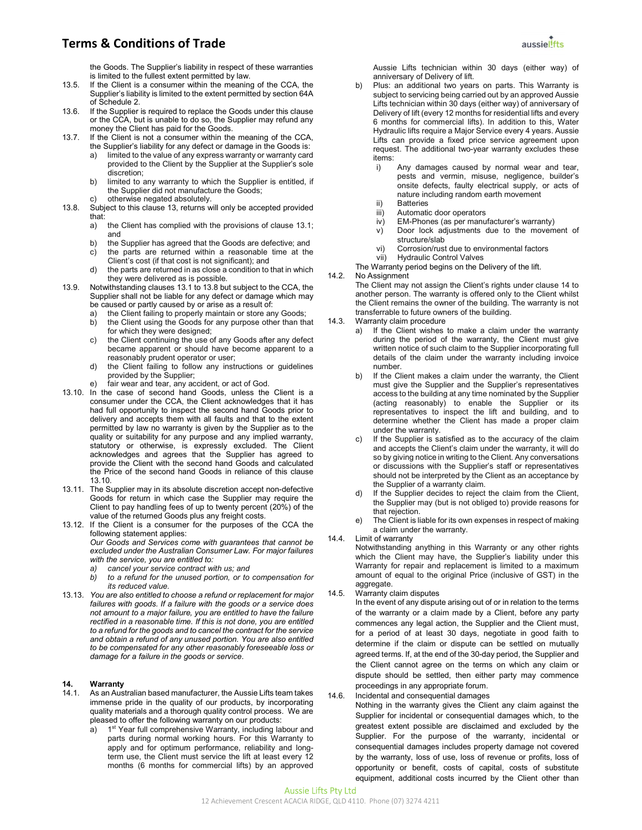the Goods. The Supplier's liability in respect of these warranties is limited to the fullest extent permitted by law.

- 13.5. If the Client is a consumer within the meaning of the CCA, the Supplier's liability is limited to the extent permitted by section 64A of Schedule 2.
- 13.6. If the Supplier is required to replace the Goods under this clause or the CCA, but is unable to do so, the Supplier may refund any money the Client has paid for the Goods.
- 13.7. If the Client is not a consumer within the meaning of the CCA, the Supplier's liability for any defect or damage in the Goods is:
	- a) limited to the value of any express warranty or warranty card provided to the Client by the Supplier at the Supplier's sole discretion;
	- b) limited to any warranty to which the Supplier is entitled, if the Supplier did not manufacture the Goods;
	- c) otherwise negated absolutely.
- 13.8. Subject to this clause 13, returns will only be accepted provided that:
	- a) the Client has complied with the provisions of clause 13.1; and
	- b) the Supplier has agreed that the Goods are defective; and
	- c) the parts are returned within a reasonable time at the Client's cost (if that cost is not significant); and
	- d) the parts are returned in as close a condition to that in which they were delivered as is possible.
- 13.9. Notwithstanding clauses 13.1 to 13.8 but subject to the CCA, the Supplier shall not be liable for any defect or damage which may be caused or partly caused by or arise as a result of:
	- the Client failing to properly maintain or store any Goods;
	- b) the Client using the Goods for any purpose other than that for which they were designed;
	- c) the Client continuing the use of any Goods after any defect became apparent or should have become apparent to a reasonably prudent operator or user;
	- d) the Client failing to follow any instructions or guidelines provided by the Supplier;
	- fair wear and tear, any accident, or act of God.
- 13.10. In the case of second hand Goods, unless the Client is a consumer under the CCA, the Client acknowledges that it has had full opportunity to inspect the second hand Goods prior to delivery and accepts them with all faults and that to the extent permitted by law no warranty is given by the Supplier as to the quality or suitability for any purpose and any implied warranty, statutory or otherwise, is expressly excluded. The Client acknowledges and agrees that the Supplier has agreed to provide the Client with the second hand Goods and calculated the Price of the second hand Goods in reliance of this clause 13.10.
- 13.11. The Supplier may in its absolute discretion accept non-defective Goods for return in which case the Supplier may require the Client to pay handling fees of up to twenty percent (20%) of the value of the returned Goods plus any freight costs.
- 13.12. If the Client is a consumer for the purposes of the CCA the following statement applies: Our Goods and Services come with guarantees that cannot be excluded under the Australian Consumer Law. For major failures
	- with the service, you are entitled to:
	- cancel your service contract with us; and
	- b) to a refund for the unused portion, or to compensation for its reduced value.
- 13.13. You are also entitled to choose a refund or replacement for major failures with goods. If a failure with the goods or a service does not amount to a major failure, you are entitled to have the failure rectified in a reasonable time. If this is not done, you are entitled to a refund for the goods and to cancel the contract for the service and obtain a refund of any unused portion. You are also entitled to be compensated for any other reasonably foreseeable loss or damage for a failure in the goods or service.

#### 14. Warranty

- 14.1. As an Australian based manufacturer, the Aussie Lifts team takes immense pride in the quality of our products, by incorporating quality materials and a thorough quality control process. We are pleased to offer the following warranty on our products:
	- a) 1<sup>st</sup> Year full comprehensive Warranty, including labour and parts during normal working hours. For this Warranty to apply and for optimum performance, reliability and longterm use, the Client must service the lift at least every 12 months (6 months for commercial lifts) by an approved

Aussie Lifts technician within 30 days (either way) of anniversary of Delivery of lift.

- Plus: an additional two years on parts. This Warranty is subject to servicing being carried out by an approved Aussie Lifts technician within 30 days (either way) of anniversary of Delivery of lift (every 12 months for residential lifts and every 6 months for commercial lifts). In addition to this, Water Hydraulic lifts require a Major Service every 4 years. Aussie Lifts can provide a fixed price service agreement upon request. The additional two-year warranty excludes these items:
	- i) Any damages caused by normal wear and tear, pests and vermin, misuse, negligence, builder's onsite defects, faulty electrical supply, or acts of nature including random earth movement
	- ii) Batteries
	- iii) Automatic door operators
	- iv) EM-Phones (as per manufacturer's warranty)
	- v) Door lock adjustments due to the movement of structure/slab
	- vi) Corrosion/rust due to environmental factors
	- vii) Hydraulic Control Valves
- The Warranty period begins on the Delivery of the lift.
- 14.2. No Assignment

The Client may not assign the Client's rights under clause 14 to another person. The warranty is offered only to the Client whilst the Client remains the owner of the building. The warranty is not transferrable to future owners of the building.

- 14.3. Warranty claim procedure
	- a) If the Client wishes to make a claim under the warranty during the period of the warranty, the Client must give written notice of such claim to the Supplier incorporating full details of the claim under the warranty including invoice number.
	- b) If the Client makes a claim under the warranty, the Client must give the Supplier and the Supplier's representatives access to the building at any time nominated by the Supplier (acting reasonably) to enable the Supplier or its representatives to inspect the lift and building, and to determine whether the Client has made a proper claim under the warranty.
	- c) If the Supplier is satisfied as to the accuracy of the claim and accepts the Client's claim under the warranty, it will do so by giving notice in writing to the Client. Any conversations or discussions with the Supplier's staff or representatives should not be interpreted by the Client as an acceptance by the Supplier of a warranty claim.
	- d) If the Supplier decides to reject the claim from the Client, the Supplier may (but is not obliged to) provide reasons for that rejection.
	- e) The Client is liable for its own expenses in respect of making a claim under the warranty.
- 14.4. Limit of warranty

Notwithstanding anything in this Warranty or any other rights which the Client may have, the Supplier's liability under this Warranty for repair and replacement is limited to a maximum amount of equal to the original Price (inclusive of GST) in the aggregate.

14.5. Warranty claim disputes

In the event of any dispute arising out of or in relation to the terms of the warranty or a claim made by a Client, before any party commences any legal action, the Supplier and the Client must, for a period of at least 30 days, negotiate in good faith to determine if the claim or dispute can be settled on mutually agreed terms. If, at the end of the 30-day period, the Supplier and the Client cannot agree on the terms on which any claim or dispute should be settled, then either party may commence proceedings in any appropriate forum.

#### 14.6. Incidental and consequential damages

Nothing in the warranty gives the Client any claim against the Supplier for incidental or consequential damages which, to the greatest extent possible are disclaimed and excluded by the Supplier. For the purpose of the warranty, incidental or consequential damages includes property damage not covered by the warranty, loss of use, loss of revenue or profits, loss of opportunity or benefit, costs of capital, costs of substitute equipment, additional costs incurred by the Client other than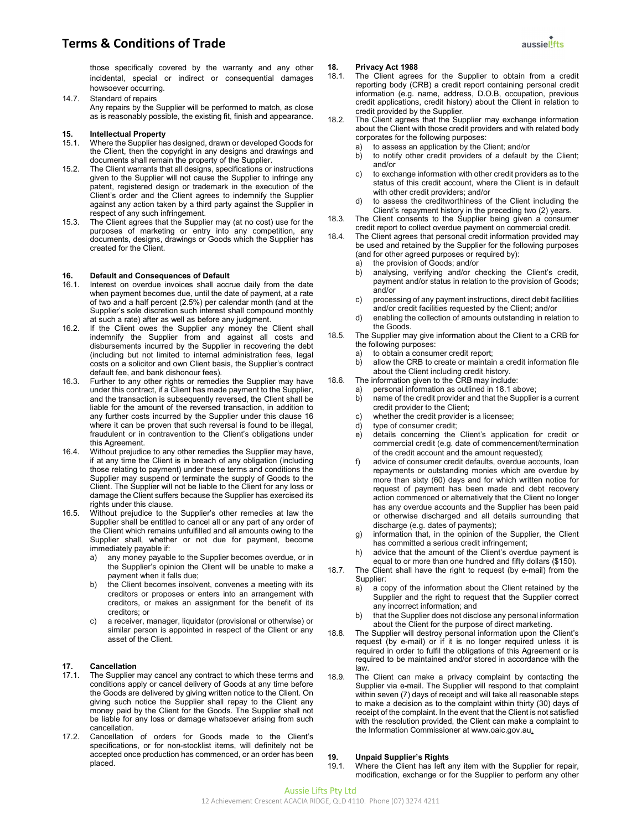

those specifically covered by the warranty and any other incidental, special or indirect or consequential damages howsoever occurring.

14.7. Standard of repairs

Any repairs by the Supplier will be performed to match, as close as is reasonably possible, the existing fit, finish and appearance.

# **15. Intellectual Property**<br>15.1 Where the Supplier ha

- Where the Supplier has designed, drawn or developed Goods for the Client, then the copyright in any designs and drawings and documents shall remain the property of the Supplier.
- 15.2. The Client warrants that all designs, specifications or instructions given to the Supplier will not cause the Supplier to infringe any patent, registered design or trademark in the execution of the Client's order and the Client agrees to indemnify the Supplier against any action taken by a third party against the Supplier in respect of any such infringement.
- 15.3. The Client agrees that the Supplier may (at no cost) use for the purposes of marketing or entry into any competition, any documents, designs, drawings or Goods which the Supplier has created for the Client.

#### 16. Default and Consequences of Default

- 16.1. Interest on overdue invoices shall accrue daily from the date when payment becomes due, until the date of payment, at a rate of two and a half percent (2.5%) per calendar month (and at the Supplier's sole discretion such interest shall compound monthly at such a rate) after as well as before any judgment.
- 16.2. If the Client owes the Supplier any money the Client shall indemnify the Supplier from and against all costs and disbursements incurred by the Supplier in recovering the debt (including but not limited to internal administration fees, legal costs on a solicitor and own Client basis, the Supplier's contract default fee, and bank dishonour fees).
- 16.3. Further to any other rights or remedies the Supplier may have under this contract, if a Client has made payment to the Supplier, and the transaction is subsequently reversed, the Client shall be liable for the amount of the reversed transaction, in addition to any further costs incurred by the Supplier under this clause 16 where it can be proven that such reversal is found to be illegal, fraudulent or in contravention to the Client's obligations under this Agreement.
- 16.4. Without prejudice to any other remedies the Supplier may have, if at any time the Client is in breach of any obligation (including those relating to payment) under these terms and conditions the Supplier may suspend or terminate the supply of Goods to the Client. The Supplier will not be liable to the Client for any loss or damage the Client suffers because the Supplier has exercised its rights under this clause.
- 16.5. Without prejudice to the Supplier's other remedies at law the Supplier shall be entitled to cancel all or any part of any order of the Client which remains unfulfilled and all amounts owing to the Supplier shall, whether or not due for payment, become immediately payable if:
	- a) any money payable to the Supplier becomes overdue, or in the Supplier's opinion the Client will be unable to make a payment when it falls due;
	- b) the Client becomes insolvent, convenes a meeting with its creditors or proposes or enters into an arrangement with creditors, or makes an assignment for the benefit of its creditors; or
	- c) a receiver, manager, liquidator (provisional or otherwise) or similar person is appointed in respect of the Client or any asset of the Client.

# 17. Cancellation<br>17.1. The Supplier

- The Supplier may cancel any contract to which these terms and conditions apply or cancel delivery of Goods at any time before the Goods are delivered by giving written notice to the Client. On giving such notice the Supplier shall repay to the Client any money paid by the Client for the Goods. The Supplier shall not be liable for any loss or damage whatsoever arising from such cancellation.
- 17.2. Cancellation of orders for Goods made to the Client's specifications, or for non-stocklist items, will definitely not be accepted once production has commenced, or an order has been placed.

#### 18. Privacy Act 1988

- 18.1. The Client agrees for the Supplier to obtain from a credit reporting body (CRB) a credit report containing personal credit information (e.g. name, address, D.O.B, occupation, previous credit applications, credit history) about the Client in relation to credit provided by the Supplier.
- 18.2. The Client agrees that the Supplier may exchange information about the Client with those credit providers and with related body corporates for the following purposes:
	- a) to assess an application by the Client; and/or
	- b) to notify other credit providers of a default by the Client; and/or
	- c) to exchange information with other credit providers as to the status of this credit account, where the Client is in default with other credit providers; and/or
	- d) to assess the creditworthiness of the Client including the Client's repayment history in the preceding two (2) years.
- 18.3. The Client consents to the Supplier being given a consumer credit report to collect overdue payment on commercial credit.
- 18.4. The Client agrees that personal credit information provided may be used and retained by the Supplier for the following purposes (and for other agreed purposes or required by):
	- a) the provision of Goods; and/or
	- b) analysing, verifying and/or checking the Client's credit, payment and/or status in relation to the provision of Goods; and/or
	- c) processing of any payment instructions, direct debit facilities and/or credit facilities requested by the Client; and/or
	- enabling the collection of amounts outstanding in relation to the Goods.
- 18.5. The Supplier may give information about the Client to a CRB for the following purposes:
	- a) to obtain a consumer credit report;<br>b) allow the CRB to create or maintain
	- allow the CRB to create or maintain a credit information file about the Client including credit history.
- 18.6. The information given to the CRB may include:
	- a) personal information as outlined in 18.1 above;<br>b) name of the credit provider and that the Supplier
		- hame of the credit provider and that the Supplier is a current credit provider to the Client;
		- c) whether the credit provider is a licensee;
		- d) type of consumer credit;
		- e) details concerning the Client's application for credit or commercial credit (e.g. date of commencement/termination of the credit account and the amount requested);
		- f) advice of consumer credit defaults, overdue accounts, loan repayments or outstanding monies which are overdue by more than sixty (60) days and for which written notice for request of payment has been made and debt recovery action commenced or alternatively that the Client no longer has any overdue accounts and the Supplier has been paid or otherwise discharged and all details surrounding that discharge (e.g. dates of payments);
		- g) information that, in the opinion of the Supplier, the Client has committed a serious credit infringement;
	- h) advice that the amount of the Client's overdue payment is equal to or more than one hundred and fifty dollars (\$150).
- 18.7. The Client shall have the right to request (by e-mail) from the Supplier:
	- a) a copy of the information about the Client retained by the Supplier and the right to request that the Supplier correct any incorrect information; and
	- b) that the Supplier does not disclose any personal information about the Client for the purpose of direct marketing.
- 18.8. The Supplier will destroy personal information upon the Client's request (by e-mail) or if it is no longer required unless it is required in order to fulfil the obligations of this Agreement or is required to be maintained and/or stored in accordance with the law.
- 18.9. The Client can make a privacy complaint by contacting the Supplier via e-mail. The Supplier will respond to that complaint within seven (7) days of receipt and will take all reasonable steps to make a decision as to the complaint within thirty (30) days of receipt of the complaint. In the event that the Client is not satisfied with the resolution provided, the Client can make a complaint to the Information Commissioner at www.oaic.gov.au.

# **19. Unpaid Supplier's Rights**<br>19.1. Where the Client has left a

Where the Client has left any item with the Supplier for repair, modification, exchange or for the Supplier to perform any other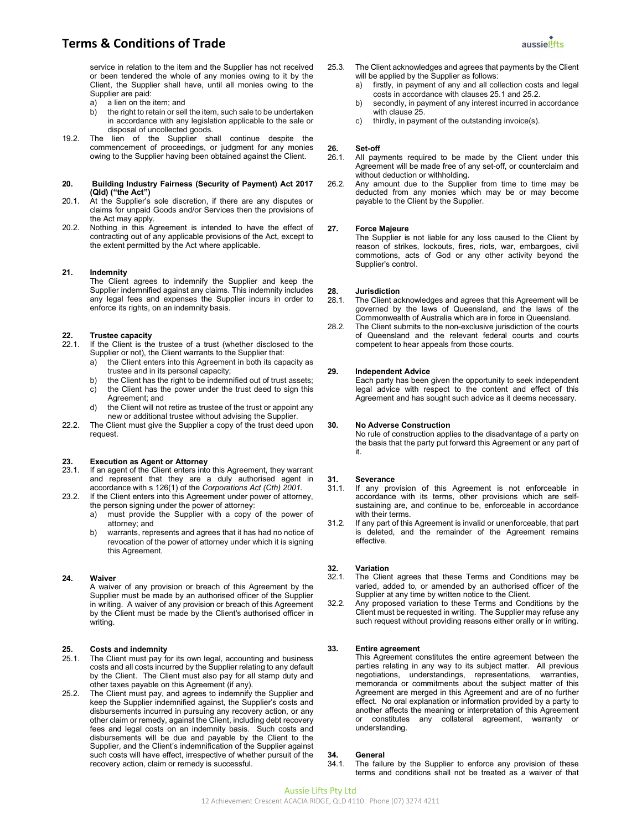service in relation to the item and the Supplier has not received or been tendered the whole of any monies owing to it by the Client, the Supplier shall have, until all monies owing to the Supplier are paid:

- a) a lien on the item; and
- b) the right to retain or sell the item, such sale to be undertaken in accordance with any legislation applicable to the sale or disposal of uncollected goods.
- 19.2. The lien of the Supplier shall continue despite the commencement of proceedings, or judgment for any monies owing to the Supplier having been obtained against the Client.

#### 20. Building Industry Fairness (Security of Payment) Act 2017 (Qld) ("the Act")

- 20.1. At the Supplier's sole discretion, if there are any disputes or claims for unpaid Goods and/or Services then the provisions of the Act may apply.
- 20.2. Nothing in this Agreement is intended to have the effect of contracting out of any applicable provisions of the Act, except to the extent permitted by the Act where applicable.

#### 21. Indemnity

The Client agrees to indemnify the Supplier and keep the Supplier indemnified against any claims. This indemnity includes any legal fees and expenses the Supplier incurs in order to enforce its rights, on an indemnity basis.

# **22.** Trustee capacity<br>22.1. If the Client is the

- If the Client is the trustee of a trust (whether disclosed to the Supplier or not), the Client warrants to the Supplier that:
	- a) the Client enters into this Agreement in both its capacity as trustee and in its personal capacity;
	- b) the Client has the right to be indemnified out of trust assets;
	- c) the Client has the power under the trust deed to sign this Agreement; and
	- d) the Client will not retire as trustee of the trust or appoint any new or additional trustee without advising the Supplier.
- 22.2. The Client must give the Supplier a copy of the trust deed upon request.

### 23. Execution as Agent or Attorney

- 23.1. If an agent of the Client enters into this Agreement, they warrant and represent that they are a duly authorised agent in accordance with s 126(1) of the Corporations Act (Cth) 2001.
- 23.2. If the Client enters into this Agreement under power of attorney, the person signing under the power of attorney:
	- a) must provide the Supplier with a copy of the power of attorney; and
	- b) warrants, represents and agrees that it has had no notice of revocation of the power of attorney under which it is signing this Agreement.

### 24. Waiver

A waiver of any provision or breach of this Agreement by the Supplier must be made by an authorised officer of the Supplier in writing. A waiver of any provision or breach of this Agreement by the Client must be made by the Client's authorised officer in writing.

### 25. Costs and indemnity

- 25.1. The Client must pay for its own legal, accounting and business costs and all costs incurred by the Supplier relating to any default by the Client. The Client must also pay for all stamp duty and other taxes payable on this Agreement (if any).
- 25.2. The Client must pay, and agrees to indemnify the Supplier and keep the Supplier indemnified against, the Supplier's costs and disbursements incurred in pursuing any recovery action, or any other claim or remedy, against the Client, including debt recovery fees and legal costs on an indemnity basis. Such costs and disbursements will be due and payable by the Client to the Supplier, and the Client's indemnification of the Supplier against such costs will have effect, irrespective of whether pursuit of the recovery action, claim or remedy is successful.
- 25.3. The Client acknowledges and agrees that payments by the Client will be applied by the Supplier as follows:
	- a) firstly, in payment of any and all collection costs and legal costs in accordance with clauses 25.1 and 25.2.
	- b) secondly, in payment of any interest incurred in accordance with clause 25.
	- c) thirdly, in payment of the outstanding invoice(s).

#### 26. Set-off

- 26.1. All payments required to be made by the Client under this Agreement will be made free of any set-off, or counterclaim and without deduction or withholding.
- 26.2. Any amount due to the Supplier from time to time may be deducted from any monies which may be or may become payable to the Client by the Supplier.

#### 27. Force Majeure

The Supplier is not liable for any loss caused to the Client by reason of strikes, lockouts, fires, riots, war, embargoes, civil commotions, acts of God or any other activity beyond the Supplier's control.

# 28. Jurisdiction<br>28.1 The Client ac

- The Client acknowledges and agrees that this Agreement will be governed by the laws of Queensland, and the laws of the Commonwealth of Australia which are in force in Queensland.
- 28.2. The Client submits to the non-exclusive jurisdiction of the courts of Queensland and the relevant federal courts and courts competent to hear appeals from those courts.

#### 29. Independent Advice

Each party has been given the opportunity to seek independent legal advice with respect to the content and effect of this Agreement and has sought such advice as it deems necessary.

#### 30. No Adverse Construction

No rule of construction applies to the disadvantage of a party on the basis that the party put forward this Agreement or any part of it.

# 31. Severance<br>31.1 If any pro

- If any provision of this Agreement is not enforceable in accordance with its terms, other provisions which are selfsustaining are, and continue to be, enforceable in accordance with their terms.
- 31.2. If any part of this Agreement is invalid or unenforceable, that part is deleted, and the remainder of the Agreement remains effective.

#### 32. Variation

- 32.1. The Client agrees that these Terms and Conditions may be varied, added to, or amended by an authorised officer of the Supplier at any time by written notice to the Client.
- 32.2. Any proposed variation to these Terms and Conditions by the Client must be requested in writing. The Supplier may refuse any such request without providing reasons either orally or in writing.

#### 33. Entire agreement

This Agreement constitutes the entire agreement between the parties relating in any way to its subject matter. All previous negotiations, understandings, representations, warranties, memoranda or commitments about the subject matter of this Agreement are merged in this Agreement and are of no further effect. No oral explanation or information provided by a party to another affects the meaning or interpretation of this Agreement or constitutes any collateral agreement, warranty or understanding.

# 34. General<br>34.1. The fail

The failure by the Supplier to enforce any provision of these terms and conditions shall not be treated as a waiver of that